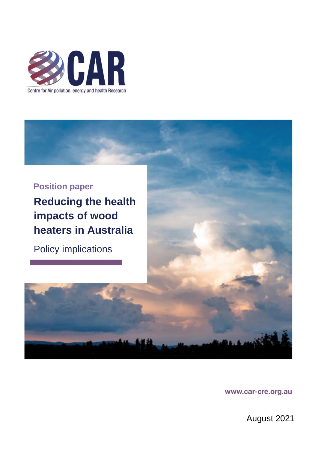



www.car-cre.org.au

August 2021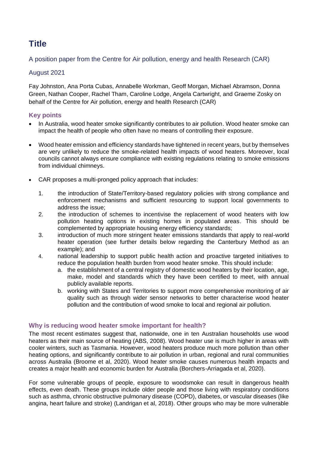# **Title**

A position paper from the Centre for Air pollution, energy and health Research (CAR)

# August 2021

Fay Johnston, Ana Porta Cubas, Annabelle Workman, Geoff Morgan, Michael Abramson, Donna Green, Nathan Cooper, Rachel Tham, Caroline Lodge, Angela Cartwright, and Graeme Zosky on behalf of the Centre for Air pollution, energy and health Research (CAR)

# **Key points**

- In Australia, wood heater smoke significantly contributes to air pollution. Wood heater smoke can impact the health of people who often have no means of controlling their exposure.
- Wood heater emission and efficiency standards have tightened in recent years, but by themselves are very unlikely to reduce the smoke-related health impacts of wood heaters. Moreover, local councils cannot always ensure compliance with existing regulations relating to smoke emissions from individual chimneys.
- CAR proposes a multi-pronged policy approach that includes:
	- 1. the introduction of State/Territory-based regulatory policies with strong compliance and enforcement mechanisms and sufficient resourcing to support local governments to address the issue;
	- 2. the introduction of schemes to incentivise the replacement of wood heaters with low pollution heating options in existing homes in populated areas. This should be complemented by appropriate housing energy efficiency standards;
	- 3. introduction of much more stringent heater emissions standards that apply to real-world heater operation (see further details below regarding the Canterbury Method as an example); and
	- 4. national leadership to support public health action and proactive targeted initiatives to reduce the population health burden from wood heater smoke. This should include:
		- a. the establishment of a central registry of domestic wood heaters by their location, age, make, model and standards which they have been certified to meet, with annual publicly available reports.
		- b. working with States and Territories to support more comprehensive monitoring of air quality such as through wider sensor networks to better characterise wood heater pollution and the contribution of wood smoke to local and regional air pollution.

# **Why is reducing wood heater smoke important for health?**

The most recent estimates suggest that, nationwide, one in ten Australian households use wood heaters as their main source of heating (ABS, 2008). Wood heater use is much higher in areas with cooler winters, such as Tasmania. However, wood heaters produce much more pollution than other heating options, and significantly contribute to air pollution in urban, regional and rural communities across Australia (Broome et al, 2020). Wood heater smoke causes numerous health impacts and creates a major health and economic burden for Australia (Borchers-Arriagada et al, 2020).

For some vulnerable groups of people, exposure to woodsmoke can result in dangerous health effects, even death. These groups include older people and those living with respiratory conditions such as asthma, chronic obstructive pulmonary disease (COPD), diabetes, or vascular diseases (like angina, heart failure and stroke) (Landrigan et al, 2018). Other groups who may be more vulnerable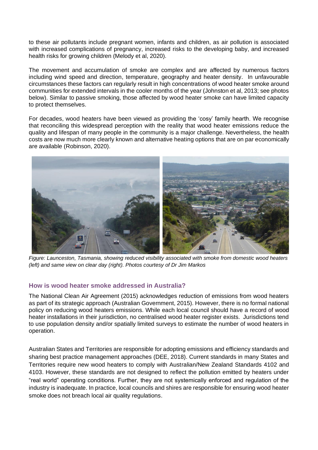to these air pollutants include pregnant women, infants and children, as air pollution is associated with increased complications of pregnancy, increased risks to the developing baby, and increased health risks for growing children (Melody et al, 2020).

The movement and accumulation of smoke are complex and are affected by numerous factors including wind speed and direction, temperature, geography and heater density. In unfavourable circumstances these factors can regularly result in high concentrations of wood heater smoke around communities for extended intervals in the cooler months of the year (Johnston et al, 2013; see photos below). Similar to passive smoking, those affected by wood heater smoke can have limited capacity to protect themselves.

For decades, wood heaters have been viewed as providing the 'cosy' family hearth. We recognise that reconciling this widespread perception with the reality that wood heater emissions reduce the quality and lifespan of many people in the community is a major challenge. Nevertheless, the health costs are now much more clearly known and alternative heating options that are on par economically are available (Robinson, 2020).



*Figure: Launceston, Tasmania, showing reduced visibility associated with smoke from domestic wood heaters (left) and same view on clear day (right). Photos courtesy of Dr Jim Markos*

## **How is wood heater smoke addressed in Australia?**

The National Clean Air Agreement (2015) acknowledges reduction of emissions from wood heaters as part of its strategic approach (Australian Government, 2015). However, there is no formal national policy on reducing wood heaters emissions. While each local council should have a record of wood heater installations in their jurisdiction, no centralised wood heater register exists. Jurisdictions tend to use population density and/or spatially limited surveys to estimate the number of wood heaters in operation.

Australian States and Territories are responsible for adopting emissions and efficiency standards and sharing best practice management approaches (DEE, 2018). Current standards in many States and Territories require new wood heaters to comply with Australian/New Zealand Standards 4102 and 4103. However, these standards are not designed to reflect the pollution emitted by heaters under "real world" operating conditions. Further, they are not systemically enforced and regulation of the industry is inadequate. In practice, local councils and shires are responsible for ensuring wood heater smoke does not breach local air quality regulations.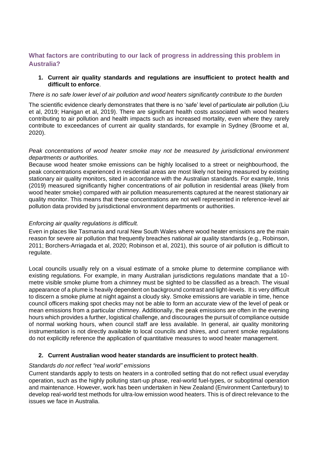## **What factors are contributing to our lack of progress in addressing this problem in Australia?**

#### **1. Current air quality standards and regulations are insufficient to protect health and difficult to enforce**.

#### *There is no safe lower level of air pollution and wood heaters significantly contribute to the burden*

The scientific evidence clearly demonstrates that there is no 'safe' level of particulate air pollution (Liu et al, 2019; Hanigan et al, 2019). There are significant health costs associated with wood heaters contributing to air pollution and health impacts such as increased mortality, even where they rarely contribute to exceedances of current air quality standards, for example in Sydney (Broome et al, 2020).

#### *Peak concentrations of wood heater smoke may not be measured by jurisdictional environment departments or authorities.*

Because wood heater smoke emissions can be highly localised to a street or neighbourhood, the peak concentrations experienced in residential areas are most likely not being measured by existing stationary air quality monitors, sited in accordance with the Australian standards. For example, Innis (2019) measured significantly higher concentrations of air pollution in residential areas (likely from wood heater smoke) compared with air pollution measurements captured at the nearest stationary air quality monitor. This means that these concentrations are not well represented in reference-level air pollution data provided by jurisdictional environment departments or authorities.

#### *Enforcing air quality regulations is difficult.*

Even in places like Tasmania and rural New South Wales where wood heater emissions are the main reason for severe air pollution that frequently breaches national air quality standards (e.g., Robinson, 2011; Borchers-Arriagada et al, 2020; Robinson et al, 2021), this source of air pollution is difficult to regulate.

Local councils usually rely on a visual estimate of a smoke plume to determine compliance with existing regulations. For example, in many Australian jurisdictions regulations mandate that a 10 metre visible smoke plume from a chimney must be sighted to be classified as a breach. The visual appearance of a plume is heavily dependent on background contrast and light-levels. It is very difficult to discern a smoke plume at night against a cloudy sky. Smoke emissions are variable in time, hence council officers making spot checks may not be able to form an accurate view of the level of peak or mean emissions from a particular chimney. Additionally, the peak emissions are often in the evening hours which provides a further, logistical challenge, and discourages the pursuit of compliance outside of normal working hours, when council staff are less available. In general, air quality monitoring instrumentation is not directly available to local councils and shires, and current smoke regulations do not explicitly reference the application of quantitative measures to wood heater management.

## **2. Current Australian wood heater standards are insufficient to protect health**.

#### *Standards do not reflect "real world" emissions*

Current standards apply to tests on heaters in a controlled setting that do not reflect usual everyday operation, such as the highly polluting start-up phase, real-world fuel-types, or suboptimal operation and maintenance. However, work has been undertaken in New Zealand (Environment Canterbury) to develop real-world test methods for ultra-low emission wood heaters. This is of direct relevance to the issues we face in Australia.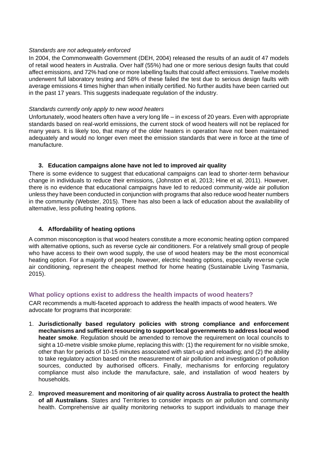#### *Standards are not adequately enforced*

In 2004, the Commonwealth Government (DEH, 2004) released the results of an audit of 47 models of retail wood heaters in Australia. Over half (55%) had one or more serious design faults that could affect emissions, and 72% had one or more labelling faults that could affect emissions. Twelve models underwent full laboratory testing and 58% of these failed the test due to serious design faults with average emissions 4 times higher than when initially certified. No further audits have been carried out in the past 17 years. This suggests inadequate regulation of the industry.

#### *Standards currently only apply to new wood heaters*

Unfortunately, wood heaters often have a very long life – in excess of 20 years. Even with appropriate standards based on real-world emissions, the current stock of wood heaters will not be replaced for many years. It is likely too, that many of the older heaters in operation have not been maintained adequately and would no longer even meet the emission standards that were in force at the time of manufacture.

#### **3. Education campaigns alone have not led to improved air quality**

There is some evidence to suggest that educational campaigns can lead to shorter-term behaviour change in individuals to reduce their emissions, (Johnston et al, 2013; Hine et al, 2011). However, there is no evidence that educational campaigns have led to reduced community-wide air pollution unless they have been conducted in conjunction with programs that also reduce wood heater numbers in the community (Webster, 2015). There has also been a lack of education about the availability of alternative, less polluting heating options.

## **4. Affordability of heating options**

A common misconception is that wood heaters constitute a more economic heating option compared with alternative options, such as reverse cycle air conditioners. For a relatively small group of people who have access to their own wood supply, the use of wood heaters may be the most economical heating option. For a majority of people, however, electric heating options, especially reverse cycle air conditioning, represent the cheapest method for home heating (Sustainable Living Tasmania, 2015).

## **What policy options exist to address the health impacts of wood heaters?**

CAR recommends a multi-faceted approach to address the health impacts of wood heaters. We advocate for programs that incorporate:

- 1. **Jurisdictionally based regulatory policies with strong compliance and enforcement mechanisms and sufficient resourcing to support local governments to address local wood heater smoke**. Regulation should be amended to remove the requirement on local councils to sight a 10-metre visible smoke plume, replacing this with: (1) the requirement for no visible smoke, other than for periods of 10-15 minutes associated with start-up and reloading; and (2) the ability to take regulatory action based on the measurement of air pollution and investigation of pollution sources, conducted by authorised officers. Finally, mechanisms for enforcing regulatory compliance must also include the manufacture, sale, and installation of wood heaters by households.
- 2. **Improved measurement and monitoring of air quality across Australia to protect the health of all Australians**. States and Territories to consider impacts on air pollution and community health. Comprehensive air quality monitoring networks to support individuals to manage their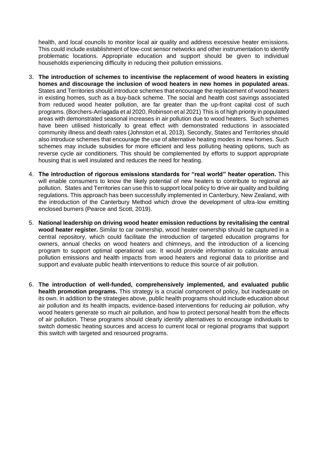health, and local councils to monitor local air quality and address excessive heater emissions. This could include establishment of low-cost sensor networks and other instrumentation to identify problematic locations. Appropriate education and support should be given to individual households experiencing difficulty in reducing their pollution emissions.

- 3. **The introduction of schemes to incentivise the replacement of wood heaters in existing homes and discourage the inclusion of wood heaters in new homes in populated areas**. States and Territories should introduce schemes that encourage the replacement of wood heaters in existing homes, such as a buy-back scheme. The social and health cost savings associated from reduced wood heater pollution, are far greater than the up-front capital cost of such programs. (Borchers-Arriagada et al 2020, Robinson et al 2021) This is of high priority in populated areas with demonstrated seasonal increases in air pollution due to wood heaters. Such schemes have been utilised historically to great effect with demonstrated reductions in associated community illness and death rates (Johnston et al, 2013). Secondly, States and Territories should also introduce schemes that encourage the use of alternative heating modes in new homes. Such schemes may include subsidies for more efficient and less polluting heating options, such as reverse cycle air conditioners. This should be complemented by efforts to support appropriate housing that is well insulated and reduces the need for heating.
- 4. **The introduction of rigorous emissions standards for "real world" heater operation.** This will enable consumers to know the likely potential of new heaters to contribute to regional air pollution. States and Territories can use this to support local policy to drive air quality and building regulations. This approach has been successfully implemented in Canterbury, New Zealand, with the introduction of the Canterbury Method which drove the development of ultra-low emitting enclosed burners (Pearce and Scott, 2019).
- 5. **National leadership on driving wood heater emission reductions by revitalising the central wood heater register.** Similar to car ownership, wood heater ownership should be captured in a central repository, which could facilitate the introduction of targeted education programs for owners, annual checks on wood heaters and chimneys, and the introduction of a licencing program to support optimal operational use. It would provide information to calculate annual pollution emissions and health impacts from wood heaters and regional data to prioritise and support and evaluate public health interventions to reduce this source of air pollution.
- 6. **The introduction of well-funded, comprehensively implemented, and evaluated public health promotion programs.** This strategy is a crucial component of policy, but inadequate on its own. In addition to the strategies above, public health programs should include education about air pollution and its health impacts, evidence-based interventions for reducing air pollution, why wood heaters generate so much air pollution, and how to protect personal health from the effects of air pollution. These programs should clearly identify alternatives to encourage individuals to switch domestic heating sources and access to current local or regional programs that support this switch with targeted and resourced programs.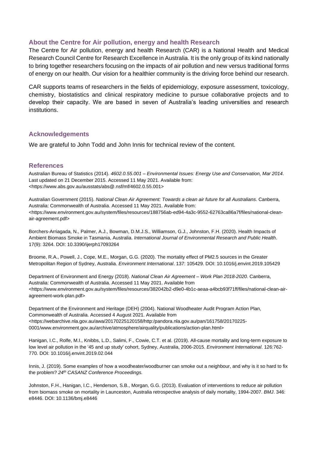### **About the Centre for Air pollution, energy and health Research**

The Centre for Air pollution, energy and health Research (CAR) is a National Health and Medical Research Council Centre for Research Excellence in Australia. It is the only group of its kind nationally to bring together researchers focusing on the impacts of air pollution and new versus traditional forms of energy on our health. Our vision for a healthier community is the driving force behind our research.

CAR supports teams of researchers in the fields of epidemiology, exposure assessment, toxicology, chemistry, biostatistics and clinical respiratory medicine to pursue collaborative projects and to develop their capacity. We are based in seven of Australia's leading universities and research institutions.

#### **Acknowledgements**

We are grateful to John Todd and John Innis for technical review of the content.

#### **References**

Australian Bureau of Statistics (2014). *4602.0.55.001 – Environmental Issues: Energy Use and Conservation, Mar 2014*. Last updated on 21 December 2015. Accessed 11 May 2021. Available from: <https://www.abs.gov.au/ausstats/abs@.nsf/mf/4602.0.55.001>

Australian Government (2015). *National Clean Air Agreement: Towards a clean air future for all Australians*. Canberra, Australia: Commonwealth of Australia. Accessed 11 May 2021. Available from: <https://www.environment.gov.au/system/files/resources/188756ab-ed94-4a3c-9552-62763ca86a7f/files/national-cleanair-agreement.pdf>

Borchers-Arriagada, N., Palmer, A.J., Bowman, D.M.J.S., Williamson, G.J., Johnston, F.H. (2020). Health Impacts of Ambient Biomass Smoke in Tasmania, Australia. *International Journal of Environmental Research and Public Health*. 17(9): 3264. DOI: 10.3390/ijerph17093264

Broome, R.A., Powell, J., Cope, M.E., Morgan, G.G. (2020). The mortality effect of PM2.5 sources in the Greater Metropolitan Region of Sydney, Australia. *Environment International*. 137: 105429. DOI: 10.1016/j.envint.2019.105429

Department of Environment and Energy (2018). *National Clean Air Agreement – Work Plan 2018-2020*. Canberra, Australia: Commonwealth of Australia. Accessed 11 May 2021. Available from <https://www.environment.gov.au/system/files/resources/382042b2-d9e0-4b1c-aeaa-a4bcb93f71ff/files/national-clean-airagreement-work-plan.pdf>

Department of the Environment and Heritage (DEH) (2004). National Woodheater Audit Program Action Plan, Commonwealth of Australia. Accessed 4 August 2021. Available from <https://webarchive.nla.gov.au/awa/20170225120158/http:/pandora.nla.gov.au/pan/161758/20170225- 0001/www.environment.gov.au/archive/atmosphere/airquality/publications/action-plan.html>

Hanigan, I.C., Rolfe, M.I., Knibbs, L.D., Salimi, F., Cowie, C.T. et al. (2019). All-cause mortality and long-term exposure to low level air pollution in the '45 and up study' cohort, Sydney, Australia, 2006-2015. *Environment International*. 126:762- 770. DOI: 10.1016/j.envint.2019.02.044

Innis, J. (2019). Some examples of how a woodheater/woodburner can smoke out a neighbour, and why is it so hard to fix the problem? *24th CASANZ Conference Proceedings.*

Johnston, F.H., Hanigan, I.C., Henderson, S.B., Morgan, G.G. (2013). Evaluation of interventions to reduce air pollution from biomass smoke on mortality in Launceston, Australia retrospective analysis of daily mortality, 1994-2007. *BMJ*. 346: e8446. DOI: 10.1136/bmj.e8446